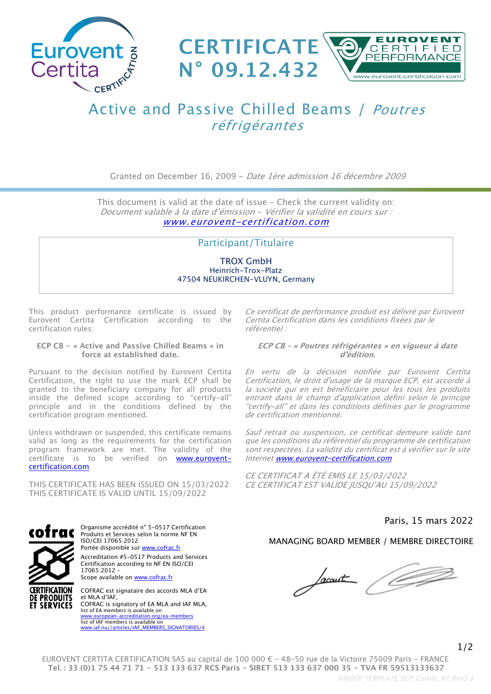



# Active and Passive Chilled Beams / *Poutres réfrigérantes*

Granted on December 16, 2009 - *Date 1ère admission 16 décembre 2009*

This document is valid at the date of issue - Check the current validity on: *Document valable à la date d'émission* - *Vérifier la validité en cours sur : [www.eurovent-certification.com](file://ecc-file/PartageHarmony/S05%20INTERNAL%20MEETINGS/S05%20D08%20WORKING%20GROUPS/HARMONISATION%20DES%20PROCESSUS/P3%20-%20D�ploiement%20-%20CM%20-%20ref%20technique/GT%20CERTIFICATS/www.eurovent-certification.com)*

### Participant/Titulaire

TROX GmbH Heinrich-Trox-Platz 47504 NEUKIRCHEN-VLUYN, Germany

This product performance certificate is issued by Eurovent Certita Certification according to the certification rules:

#### **ECP CB - « Active and Passive Chilled Beams » in force at established date.**

Pursuant to the decision notified by Eurovent Certita Certification, the right to use the mark ECP shall be granted to the beneficiary company for all products inside the defined scope according to "certify-all" principle and in the conditions defined by the certification program mentioned.

Unless withdrawn or suspended, this certificate remains valid as long as the requirements for the certification program framework are met. The validity of the certificate is to be verified on [www.eurovent](http://www.eurovent-certification.com)[certification.com](http://www.eurovent-certification.com)

THIS CERTIFICATE HAS BEEN ISSUED ON 15/03/2022 THIS CERTIFICATE IS VALID UNTIL 15/09/2022



**ET SERVICES** 

Organisme accrédité n° 5-0517 Certification Produits et Services selon la norme NF EN ISO/CEI 17065:2012 Portée disponible sur [www.cofrac.fr](http://www.cofrac.fr) Accreditation #5-0517 Products and Services Certification according to NF EN ISO/CEI 17065:2012 – Scope available on [www.cofrac.fr](http://www.cofrac.fr)

COFRAC est signataire des accords MLA d'EA et MLA d'IAF, COFRAC is signatory of EA MLA and IAF MLA, list of EA members is available on [www.european-accreditation.org/ea-members](http://www.european-accreditation.org/ea-members) WWW.european-accremianon.org/ [www.iaf.nu//articles/IAF\\_MEMBERS\\_SIGNATORIES/4](http://www.iaf.nu/articles/IAF_MEMBERS_SIGNATORIES/4)

*Ce certificat de performance produit est délivré par Eurovent Certita Certification dans les conditions fixées par le référentiel :*

#### *ECP CB – « Poutres réfrigérantes » en vigueur à date d'édition.*

*En vertu de la décision notifiée par Eurovent Certita Certification, le droit d'usage de la marque ECP, est accordé à la société qui en est bénéficiaire pour les tous les produits entrant dans le champ d'application défini selon le principe "certify-all" et dans les conditions définies par le programme de certification mentionné.*

*Sauf retrait ou suspension, ce certificat demeure valide tant que les conditions du référentiel du programme de certification sont respectées. La validité du certificat est à vérifier sur le site Internet [www.eurovent-certification.com](http://www.eurovent-certification.com/)*

*CE CERTIFICAT A ÉTÉ EMIS LE 15/03/2022 CE CERTIFICAT EST VALIDE JUSQU'AU 15/09/2022*

## Paris, 15 mars 2022

#### MANAGING BOARD MEMBER / MEMBRE DIRECTOIRE

Sacant

EUROVENT CERTITA CERTIFICATION SAS au capital de 100 000 € - 48-50 rue de la Victoire 75009 Paris - FRANCE **Tel. : 33 (0)1 75 44 71 71 - 513 133 637 RCS Paris - SIRET 513 133 637 000 35 - TVA FR 59513133637**